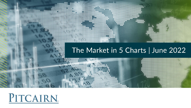## The Market in 5 Charts | June 2022

................

.:::::::

........

00000000000000000

 $\bullet\bullet\bullet$ 

 $00000000000$ 

,,,,,,,,,,, ..............

,,,,,,,,,,,,,,,,,,,,,,,,

.... ,,,,,,,,

..............

.......

\*\*\*\*\*\*\*\*\*\*\*\*\*\*\*\*\*\*\*\*\*\*\*\*\*\*\*\*\*\*\*\* 

............... ,,,,,,,,,,,,,,,, ,,,,,,,,,,,,,,,,,,,,, ,,,,,,,,,,,,,,,,,,,,,,,

......................

00000

# PITCAIRN

,,,,,,,,,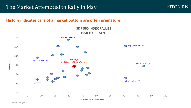## The Market Attempted to Rally in May



## **History indicates calls of a market bottom are often premature**



Source: Strategas, 2022.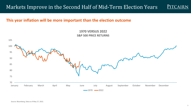#### Markets Improve in the Second Half of Mid-Term Election Years PITCAIRN

### **This year inflation will be more important than the election outcome**

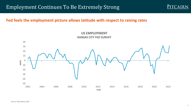## Employment Continues To Be Extremely Strong

## **Fed feels the employment picture allows latitude with respect to raising rates**



Source: Bloomberg, 2022.

PITCAIRN.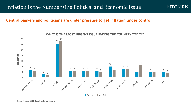

## **Central bankers and politicians are under pressure to get inflation under control**



#### **WHAT IS THE MOST URGENT ISSUE FACING THE COUNTRY TODAY?**

April 27  $M$  May 18